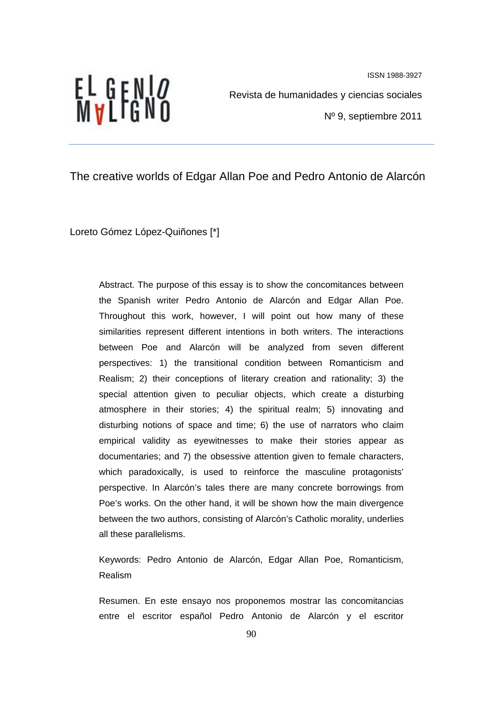

Revista de humanidades y ciencias sociales

Nº 9, septiembre 2011

## The creative worlds of Edgar Allan Poe and Pedro Antonio de Alarcón

Loreto Gómez López-Quiñones [\*]

Abstract. The purpose of this essay is to show the concomitances between the Spanish writer Pedro Antonio de Alarcón and Edgar Allan Poe. Throughout this work, however, I will point out how many of these similarities represent different intentions in both writers. The interactions between Poe and Alarcón will be analyzed from seven different perspectives: 1) the transitional condition between Romanticism and Realism; 2) their conceptions of literary creation and rationality; 3) the special attention given to peculiar objects, which create a disturbing atmosphere in their stories; 4) the spiritual realm; 5) innovating and disturbing notions of space and time; 6) the use of narrators who claim empirical validity as eyewitnesses to make their stories appear as documentaries; and 7) the obsessive attention given to female characters, which paradoxically, is used to reinforce the masculine protagonists' perspective. In Alarcón's tales there are many concrete borrowings from Poe's works. On the other hand, it will be shown how the main divergence between the two authors, consisting of Alarcón's Catholic morality, underlies all these parallelisms.

Keywords: Pedro Antonio de Alarcón, Edgar Allan Poe, Romanticism, Realism

Resumen. En este ensayo nos proponemos mostrar las concomitancias entre el escritor español Pedro Antonio de Alarcón y el escritor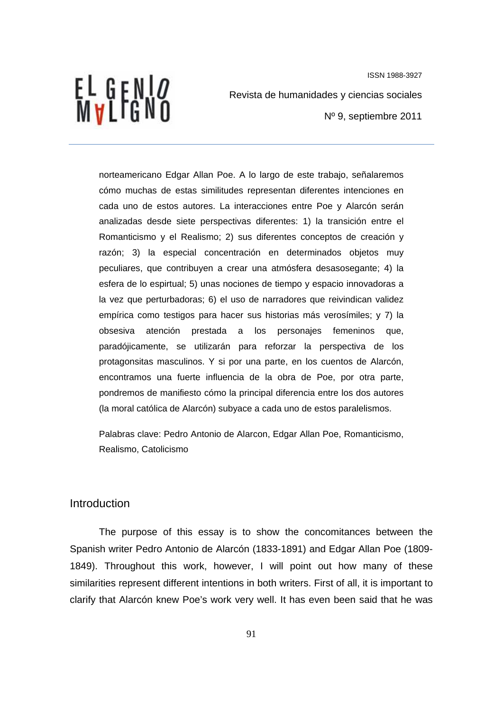EL GENI*o*<br>Mvlfgno

Revista de humanidades y ciencias sociales

Nº 9, septiembre 2011

norteamericano Edgar Allan Poe. A lo largo de este trabajo, señalaremos cómo muchas de estas similitudes representan diferentes intenciones en cada uno de estos autores. La interacciones entre Poe y Alarcón serán analizadas desde siete perspectivas diferentes: 1) la transición entre el Romanticismo y el Realismo; 2) sus diferentes conceptos de creación y razón; 3) la especial concentración en determinados objetos muy peculiares, que contribuyen a crear una atmósfera desasosegante; 4) la esfera de lo espirtual; 5) unas nociones de tiempo y espacio innovadoras a la vez que perturbadoras; 6) el uso de narradores que reivindican validez empírica como testigos para hacer sus historias más verosímiles; y 7) la obsesiva atención prestada a los personajes femeninos que, paradójicamente, se utilizarán para reforzar la perspectiva de los protagonsitas masculinos. Y si por una parte, en los cuentos de Alarcón, encontramos una fuerte influencia de la obra de Poe, por otra parte, pondremos de manifiesto cómo la principal diferencia entre los dos autores (la moral católica de Alarcón) subyace a cada uno de estos paralelismos.

Palabras clave: Pedro Antonio de Alarcon, Edgar Allan Poe, Romanticismo, Realismo, Catolicismo

#### Introduction

The purpose of this essay is to show the concomitances between the Spanish writer Pedro Antonio de Alarcón (1833-1891) and Edgar Allan Poe (1809- 1849). Throughout this work, however, I will point out how many of these similarities represent different intentions in both writers. First of all, it is important to clarify that Alarcón knew Poe's work very well. It has even been said that he was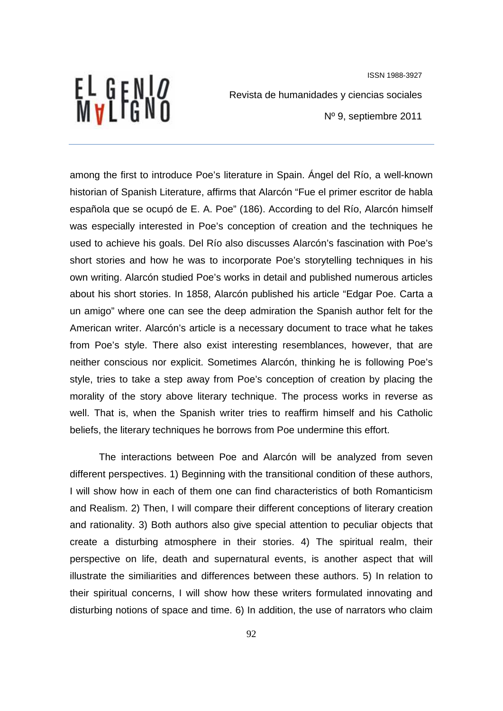EL GENI*O*<br>MVLFGNO

Revista de humanidades y ciencias sociales

Nº 9, septiembre 2011

among the first to introduce Poe's literature in Spain. Ángel del Río, a well-known historian of Spanish Literature, affirms that Alarcón "Fue el primer escritor de habla española que se ocupó de E. A. Poe" (186). According to del Río, Alarcón himself was especially interested in Poe's conception of creation and the techniques he used to achieve his goals. Del Río also discusses Alarcón's fascination with Poe's short stories and how he was to incorporate Poe's storytelling techniques in his own writing. Alarcón studied Poe's works in detail and published numerous articles about his short stories. In 1858, Alarcón published his article "Edgar Poe. Carta a un amigo" where one can see the deep admiration the Spanish author felt for the American writer. Alarcón's article is a necessary document to trace what he takes from Poe's style. There also exist interesting resemblances, however, that are neither conscious nor explicit. Sometimes Alarcón, thinking he is following Poe's style, tries to take a step away from Poe's conception of creation by placing the morality of the story above literary technique. The process works in reverse as well. That is, when the Spanish writer tries to reaffirm himself and his Catholic beliefs, the literary techniques he borrows from Poe undermine this effort.

The interactions between Poe and Alarcón will be analyzed from seven different perspectives. 1) Beginning with the transitional condition of these authors, I will show how in each of them one can find characteristics of both Romanticism and Realism. 2) Then, I will compare their different conceptions of literary creation and rationality. 3) Both authors also give special attention to peculiar objects that create a disturbing atmosphere in their stories. 4) The spiritual realm, their perspective on life, death and supernatural events, is another aspect that will illustrate the similiarities and differences between these authors. 5) In relation to their spiritual concerns, I will show how these writers formulated innovating and disturbing notions of space and time. 6) In addition, the use of narrators who claim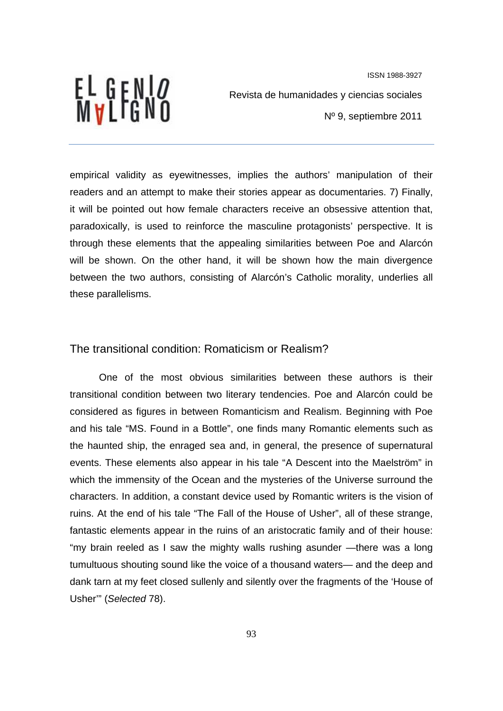

Revista de humanidades y ciencias sociales Nº 9, septiembre 2011

empirical validity as eyewitnesses, implies the authors' manipulation of their readers and an attempt to make their stories appear as documentaries. 7) Finally, it will be pointed out how female characters receive an obsessive attention that, paradoxically, is used to reinforce the masculine protagonists' perspective. It is through these elements that the appealing similarities between Poe and Alarcón will be shown. On the other hand, it will be shown how the main divergence between the two authors, consisting of Alarcón's Catholic morality, underlies all these parallelisms.

# The transitional condition: Romaticism or Realism?

One of the most obvious similarities between these authors is their transitional condition between two literary tendencies. Poe and Alarcón could be considered as figures in between Romanticism and Realism. Beginning with Poe and his tale "MS. Found in a Bottle", one finds many Romantic elements such as the haunted ship, the enraged sea and, in general, the presence of supernatural events. These elements also appear in his tale "A Descent into the Maelström" in which the immensity of the Ocean and the mysteries of the Universe surround the characters. In addition, a constant device used by Romantic writers is the vision of ruins. At the end of his tale "The Fall of the House of Usher", all of these strange, fantastic elements appear in the ruins of an aristocratic family and of their house: "my brain reeled as I saw the mighty walls rushing asunder —there was a long tumultuous shouting sound like the voice of a thousand waters— and the deep and dank tarn at my feet closed sullenly and silently over the fragments of the 'House of Usher'" (*Selected* 78).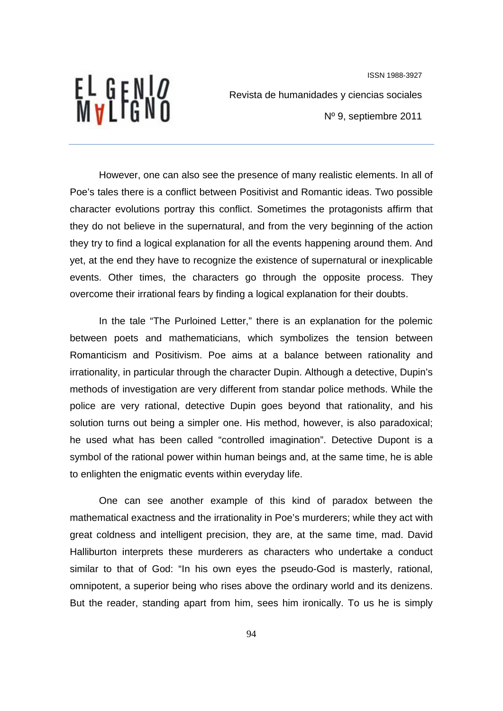# EL GENI*o*<br>Mvlfgno

ISSN 1988-3927 Revista de humanidades y ciencias sociales Nº 9, septiembre 2011

However, one can also see the presence of many realistic elements. In all of Poe's tales there is a conflict between Positivist and Romantic ideas. Two possible character evolutions portray this conflict. Sometimes the protagonists affirm that they do not believe in the supernatural, and from the very beginning of the action they try to find a logical explanation for all the events happening around them. And yet, at the end they have to recognize the existence of supernatural or inexplicable events. Other times, the characters go through the opposite process. They overcome their irrational fears by finding a logical explanation for their doubts.

In the tale "The Purloined Letter," there is an explanation for the polemic between poets and mathematicians, which symbolizes the tension between Romanticism and Positivism. Poe aims at a balance between rationality and irrationality, in particular through the character Dupin. Although a detective, Dupin's methods of investigation are very different from standar police methods. While the police are very rational, detective Dupin goes beyond that rationality, and his solution turns out being a simpler one. His method, however, is also paradoxical; he used what has been called "controlled imagination". Detective Dupont is a symbol of the rational power within human beings and, at the same time, he is able to enlighten the enigmatic events within everyday life.

One can see another example of this kind of paradox between the mathematical exactness and the irrationality in Poe's murderers; while they act with great coldness and intelligent precision, they are, at the same time, mad. David Halliburton interprets these murderers as characters who undertake a conduct similar to that of God: "In his own eyes the pseudo-God is masterly, rational, omnipotent, a superior being who rises above the ordinary world and its denizens. But the reader, standing apart from him, sees him ironically. To us he is simply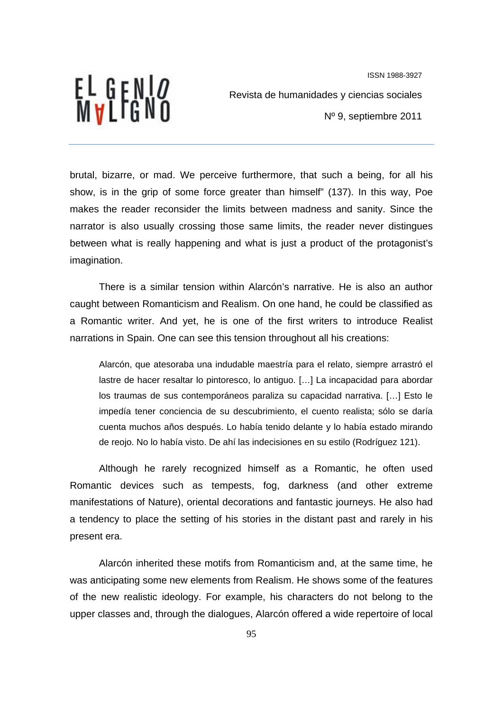

Revista de humanidades y ciencias sociales

Nº 9, septiembre 2011

brutal, bizarre, or mad. We perceive furthermore, that such a being, for all his show, is in the grip of some force greater than himself" (137). In this way, Poe makes the reader reconsider the limits between madness and sanity. Since the narrator is also usually crossing those same limits, the reader never distingues between what is really happening and what is just a product of the protagonist's imagination.

There is a similar tension within Alarcón's narrative. He is also an author caught between Romanticism and Realism. On one hand, he could be classified as a Romantic writer. And yet, he is one of the first writers to introduce Realist narrations in Spain. One can see this tension throughout all his creations:

Alarcón, que atesoraba una indudable maestría para el relato, siempre arrastró el lastre de hacer resaltar lo pintoresco, lo antiguo. […] La incapacidad para abordar los traumas de sus contemporáneos paraliza su capacidad narrativa. […] Esto le impedía tener conciencia de su descubrimiento, el cuento realista; sólo se daría cuenta muchos años después. Lo había tenido delante y lo había estado mirando de reojo. No lo había visto. De ahí las indecisiones en su estilo (Rodríguez 121).

Although he rarely recognized himself as a Romantic, he often used Romantic devices such as tempests, fog, darkness (and other extreme manifestations of Nature), oriental decorations and fantastic journeys. He also had a tendency to place the setting of his stories in the distant past and rarely in his present era.

Alarcón inherited these motifs from Romanticism and, at the same time, he was anticipating some new elements from Realism. He shows some of the features of the new realistic ideology. For example, his characters do not belong to the upper classes and, through the dialogues, Alarcón offered a wide repertoire of local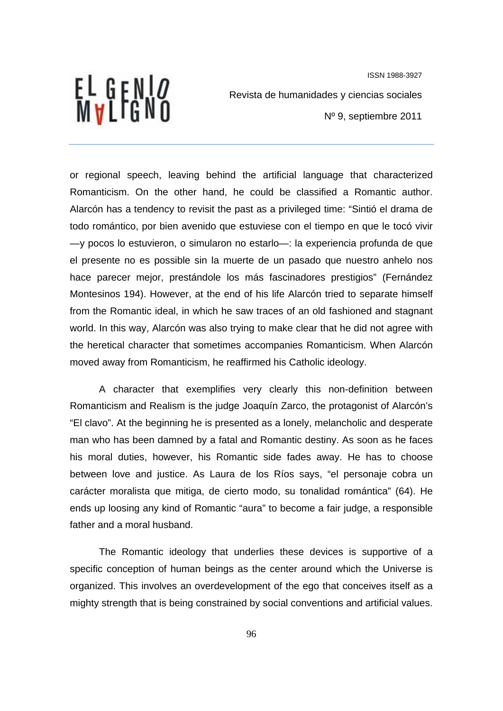EL GENI*o*<br>Mvlfgno

ISSN 1988-3927 Revista de humanidades y ciencias sociales Nº 9, septiembre 2011

or regional speech, leaving behind the artificial language that characterized Romanticism. On the other hand, he could be classified a Romantic author. Alarcón has a tendency to revisit the past as a privileged time: "Sintió el drama de todo romántico, por bien avenido que estuviese con el tiempo en que le tocó vivir —y pocos lo estuvieron, o simularon no estarlo—: la experiencia profunda de que el presente no es possible sin la muerte de un pasado que nuestro anhelo nos hace parecer mejor, prestándole los más fascinadores prestigios" (Fernández Montesinos 194). However, at the end of his life Alarcón tried to separate himself from the Romantic ideal, in which he saw traces of an old fashioned and stagnant world. In this way, Alarcón was also trying to make clear that he did not agree with the heretical character that sometimes accompanies Romanticism. When Alarcón moved away from Romanticism, he reaffirmed his Catholic ideology.

A character that exemplifies very clearly this non-definition between Romanticism and Realism is the judge Joaquín Zarco, the protagonist of Alarcón's "El clavo". At the beginning he is presented as a lonely, melancholic and desperate man who has been damned by a fatal and Romantic destiny. As soon as he faces his moral duties, however, his Romantic side fades away. He has to choose between love and justice. As Laura de los Ríos says, "el personaje cobra un carácter moralista que mitiga, de cierto modo, su tonalidad romántica" (64). He ends up loosing any kind of Romantic "aura" to become a fair judge, a responsible father and a moral husband.

The Romantic ideology that underlies these devices is supportive of a specific conception of human beings as the center around which the Universe is organized. This involves an overdevelopment of the ego that conceives itself as a mighty strength that is being constrained by social conventions and artificial values.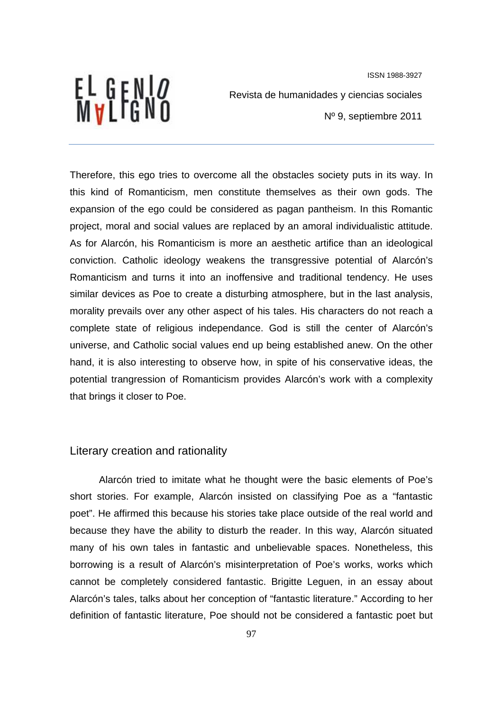EL GENI*o*<br>Mvlfgno

Revista de humanidades y ciencias sociales

Nº 9, septiembre 2011

Therefore, this ego tries to overcome all the obstacles society puts in its way. In this kind of Romanticism, men constitute themselves as their own gods. The expansion of the ego could be considered as pagan pantheism. In this Romantic project, moral and social values are replaced by an amoral individualistic attitude. As for Alarcón, his Romanticism is more an aesthetic artifice than an ideological conviction. Catholic ideology weakens the transgressive potential of Alarcón's Romanticism and turns it into an inoffensive and traditional tendency. He uses similar devices as Poe to create a disturbing atmosphere, but in the last analysis, morality prevails over any other aspect of his tales. His characters do not reach a complete state of religious independance. God is still the center of Alarcón's universe, and Catholic social values end up being established anew. On the other hand, it is also interesting to observe how, in spite of his conservative ideas, the potential trangression of Romanticism provides Alarcón's work with a complexity that brings it closer to Poe.

#### Literary creation and rationality

Alarcón tried to imitate what he thought were the basic elements of Poe's short stories. For example, Alarcón insisted on classifying Poe as a "fantastic poet". He affirmed this because his stories take place outside of the real world and because they have the ability to disturb the reader. In this way, Alarcón situated many of his own tales in fantastic and unbelievable spaces. Nonetheless, this borrowing is a result of Alarcón's misinterpretation of Poe's works, works which cannot be completely considered fantastic. Brigitte Leguen, in an essay about Alarcón's tales, talks about her conception of "fantastic literature." According to her definition of fantastic literature, Poe should not be considered a fantastic poet but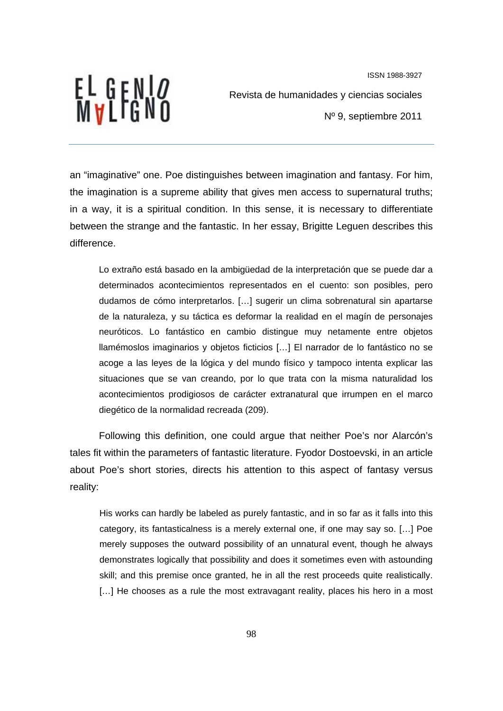EL GENI*o*<br>Mvlfgno

ISSN 1988-3927 Revista de humanidades y ciencias sociales Nº 9, septiembre 2011

an "imaginative" one. Poe distinguishes between imagination and fantasy. For him, the imagination is a supreme ability that gives men access to supernatural truths; in a way, it is a spiritual condition. In this sense, it is necessary to differentiate between the strange and the fantastic. In her essay, Brigitte Leguen describes this difference.

Lo extraño está basado en la ambigüedad de la interpretación que se puede dar a determinados acontecimientos representados en el cuento: son posibles, pero dudamos de cómo interpretarlos. […] sugerir un clima sobrenatural sin apartarse de la naturaleza, y su táctica es deformar la realidad en el magín de personajes neuróticos. Lo fantástico en cambio distingue muy netamente entre objetos llamémoslos imaginarios y objetos ficticios […] El narrador de lo fantástico no se acoge a las leyes de la lógica y del mundo físico y tampoco intenta explicar las situaciones que se van creando, por lo que trata con la misma naturalidad los acontecimientos prodigiosos de carácter extranatural que irrumpen en el marco diegético de la normalidad recreada (209).

Following this definition, one could argue that neither Poe's nor Alarcón's tales fit within the parameters of fantastic literature. Fyodor Dostoevski, in an article about Poe's short stories, directs his attention to this aspect of fantasy versus reality:

His works can hardly be labeled as purely fantastic, and in so far as it falls into this category, its fantasticalness is a merely external one, if one may say so. […] Poe merely supposes the outward possibility of an unnatural event, though he always demonstrates logically that possibility and does it sometimes even with astounding skill; and this premise once granted, he in all the rest proceeds quite realistically. [...] He chooses as a rule the most extravagant reality, places his hero in a most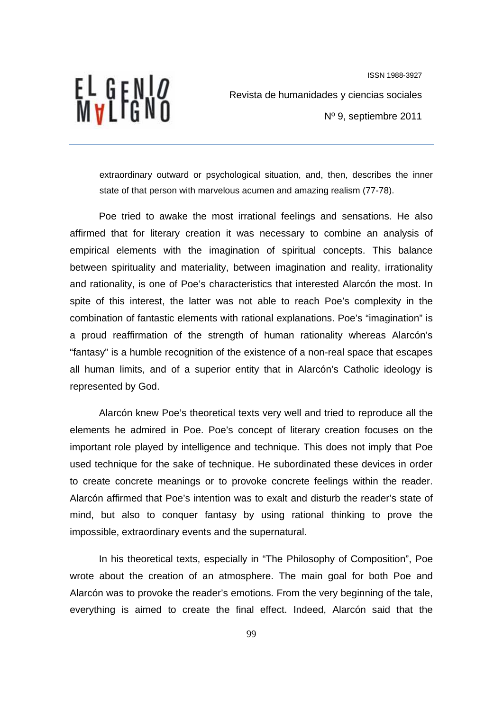EL GENI*o*<br>Mvlfgno

Revista de humanidades y ciencias sociales

Nº 9, septiembre 2011

extraordinary outward or psychological situation, and, then, describes the inner state of that person with marvelous acumen and amazing realism (77-78).

Poe tried to awake the most irrational feelings and sensations. He also affirmed that for literary creation it was necessary to combine an analysis of empirical elements with the imagination of spiritual concepts. This balance between spirituality and materiality, between imagination and reality, irrationality and rationality, is one of Poe's characteristics that interested Alarcón the most. In spite of this interest, the latter was not able to reach Poe's complexity in the combination of fantastic elements with rational explanations. Poe's "imagination" is a proud reaffirmation of the strength of human rationality whereas Alarcón's "fantasy" is a humble recognition of the existence of a non-real space that escapes all human limits, and of a superior entity that in Alarcón's Catholic ideology is represented by God.

Alarcón knew Poe's theoretical texts very well and tried to reproduce all the elements he admired in Poe. Poe's concept of literary creation focuses on the important role played by intelligence and technique. This does not imply that Poe used technique for the sake of technique. He subordinated these devices in order to create concrete meanings or to provoke concrete feelings within the reader. Alarcón affirmed that Poe's intention was to exalt and disturb the reader's state of mind, but also to conquer fantasy by using rational thinking to prove the impossible, extraordinary events and the supernatural.

In his theoretical texts, especially in "The Philosophy of Composition", Poe wrote about the creation of an atmosphere. The main goal for both Poe and Alarcón was to provoke the reader's emotions. From the very beginning of the tale, everything is aimed to create the final effect. Indeed, Alarcón said that the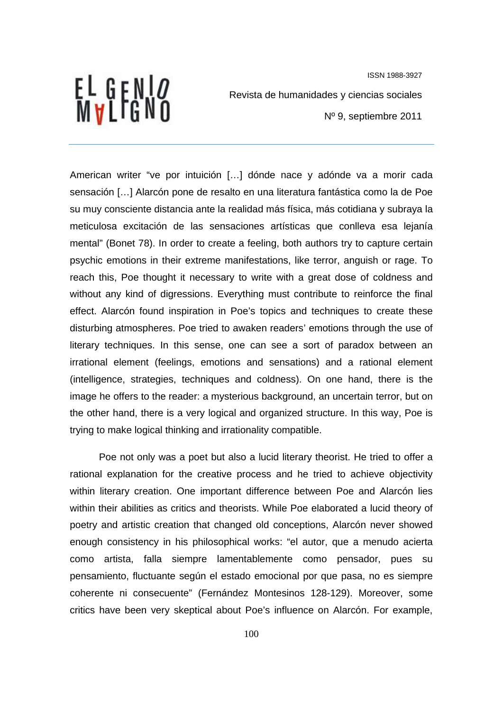EL GENI*o*<br>Mvlfgno

Revista de humanidades y ciencias sociales

Nº 9, septiembre 2011

American writer "ve por intuición […] dónde nace y adónde va a morir cada sensación […] Alarcón pone de resalto en una literatura fantástica como la de Poe su muy consciente distancia ante la realidad más física, más cotidiana y subraya la meticulosa excitación de las sensaciones artísticas que conlleva esa lejanía mental" (Bonet 78). In order to create a feeling, both authors try to capture certain psychic emotions in their extreme manifestations, like terror, anguish or rage. To reach this, Poe thought it necessary to write with a great dose of coldness and without any kind of digressions. Everything must contribute to reinforce the final effect. Alarcón found inspiration in Poe's topics and techniques to create these disturbing atmospheres. Poe tried to awaken readers' emotions through the use of literary techniques. In this sense, one can see a sort of paradox between an irrational element (feelings, emotions and sensations) and a rational element (intelligence, strategies, techniques and coldness). On one hand, there is the image he offers to the reader: a mysterious background, an uncertain terror, but on the other hand, there is a very logical and organized structure. In this way, Poe is trying to make logical thinking and irrationality compatible.

Poe not only was a poet but also a lucid literary theorist. He tried to offer a rational explanation for the creative process and he tried to achieve objectivity within literary creation. One important difference between Poe and Alarcón lies within their abilities as critics and theorists. While Poe elaborated a lucid theory of poetry and artistic creation that changed old conceptions, Alarcón never showed enough consistency in his philosophical works: "el autor, que a menudo acierta como artista, falla siempre lamentablemente como pensador, pues su pensamiento, fluctuante según el estado emocional por que pasa, no es siempre coherente ni consecuente" (Fernández Montesinos 128-129). Moreover, some critics have been very skeptical about Poe's influence on Alarcón. For example,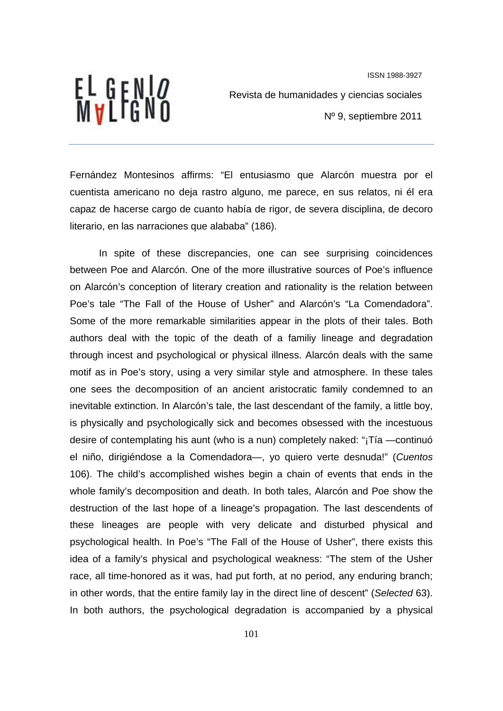

Revista de humanidades y ciencias sociales

Nº 9, septiembre 2011

Fernández Montesinos affirms: "El entusiasmo que Alarcón muestra por el cuentista americano no deja rastro alguno, me parece, en sus relatos, ni él era capaz de hacerse cargo de cuanto había de rigor, de severa disciplina, de decoro literario, en las narraciones que alababa" (186).

In spite of these discrepancies, one can see surprising coincidences between Poe and Alarcón. One of the more illustrative sources of Poe's influence on Alarcón's conception of literary creation and rationality is the relation between Poe's tale "The Fall of the House of Usher" and Alarcón's "La Comendadora". Some of the more remarkable similarities appear in the plots of their tales. Both authors deal with the topic of the death of a familiy lineage and degradation through incest and psychological or physical illness. Alarcón deals with the same motif as in Poe's story, using a very similar style and atmosphere. In these tales one sees the decomposition of an ancient aristocratic family condemned to an inevitable extinction. In Alarcón's tale, the last descendant of the family, a little boy, is physically and psychologically sick and becomes obsessed with the incestuous desire of contemplating his aunt (who is a nun) completely naked: "¡Tía —continuó el niño, dirigiéndose a la Comendadora—, yo quiero verte desnuda!" (*Cuentos* 106). The child's accomplished wishes begin a chain of events that ends in the whole family's decomposition and death. In both tales, Alarcón and Poe show the destruction of the last hope of a lineage's propagation. The last descendents of these lineages are people with very delicate and disturbed physical and psychological health. In Poe's "The Fall of the House of Usher", there exists this idea of a family's physical and psychological weakness: "The stem of the Usher race, all time-honored as it was, had put forth, at no period, any enduring branch; in other words, that the entire family lay in the direct line of descent" (*Selected* 63). In both authors, the psychological degradation is accompanied by a physical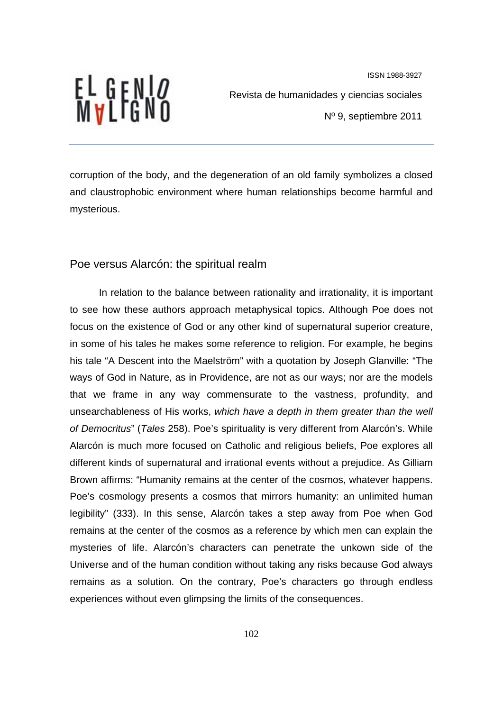

Revista de humanidades y ciencias sociales

Nº 9, septiembre 2011

corruption of the body, and the degeneration of an old family symbolizes a closed and claustrophobic environment where human relationships become harmful and mysterious.

# Poe versus Alarcón: the spiritual realm

In relation to the balance between rationality and irrationality, it is important to see how these authors approach metaphysical topics. Although Poe does not focus on the existence of God or any other kind of supernatural superior creature, in some of his tales he makes some reference to religion. For example, he begins his tale "A Descent into the Maelström" with a quotation by Joseph Glanville: "The ways of God in Nature, as in Providence, are not as our ways; nor are the models that we frame in any way commensurate to the vastness, profundity, and unsearchableness of His works, *which have a depth in them greater than the well of Democritus*" (*Tales* 258). Poe's spirituality is very different from Alarcón's. While Alarcón is much more focused on Catholic and religious beliefs, Poe explores all different kinds of supernatural and irrational events without a prejudice. As Gilliam Brown affirms: "Humanity remains at the center of the cosmos, whatever happens. Poe's cosmology presents a cosmos that mirrors humanity: an unlimited human legibility" (333). In this sense, Alarcón takes a step away from Poe when God remains at the center of the cosmos as a reference by which men can explain the mysteries of life. Alarcón's characters can penetrate the unkown side of the Universe and of the human condition without taking any risks because God always remains as a solution. On the contrary, Poe's characters go through endless experiences without even glimpsing the limits of the consequences.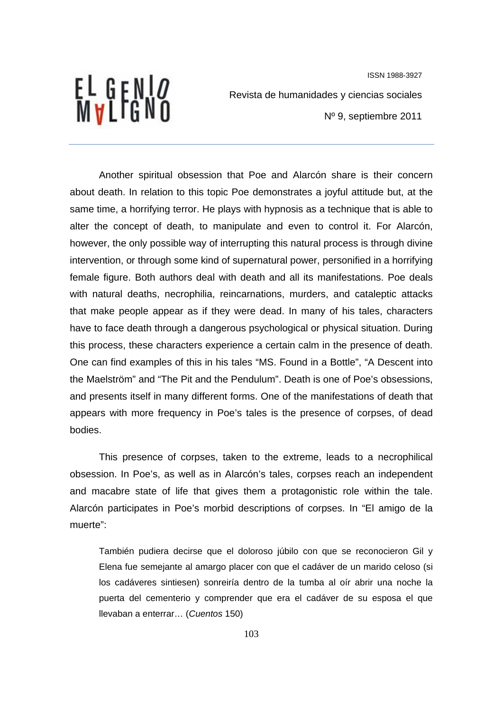# EL GENI*o*<br>Mvlfgno

Revista de humanidades y ciencias sociales

Nº 9, septiembre 2011

Another spiritual obsession that Poe and Alarcón share is their concern about death. In relation to this topic Poe demonstrates a joyful attitude but, at the same time, a horrifying terror. He plays with hypnosis as a technique that is able to alter the concept of death, to manipulate and even to control it. For Alarcón, however, the only possible way of interrupting this natural process is through divine intervention, or through some kind of supernatural power, personified in a horrifying female figure. Both authors deal with death and all its manifestations. Poe deals with natural deaths, necrophilia, reincarnations, murders, and cataleptic attacks that make people appear as if they were dead. In many of his tales, characters have to face death through a dangerous psychological or physical situation. During this process, these characters experience a certain calm in the presence of death. One can find examples of this in his tales "MS. Found in a Bottle", "A Descent into the Maelström" and "The Pit and the Pendulum". Death is one of Poe's obsessions, and presents itself in many different forms. One of the manifestations of death that appears with more frequency in Poe's tales is the presence of corpses, of dead bodies.

This presence of corpses, taken to the extreme, leads to a necrophilical obsession. In Poe's, as well as in Alarcón's tales, corpses reach an independent and macabre state of life that gives them a protagonistic role within the tale. Alarcón participates in Poe's morbid descriptions of corpses. In "El amigo de la muerte":

También pudiera decirse que el doloroso júbilo con que se reconocieron Gil y Elena fue semejante al amargo placer con que el cadáver de un marido celoso (si los cadáveres sintiesen) sonreiría dentro de la tumba al oír abrir una noche la puerta del cementerio y comprender que era el cadáver de su esposa el que llevaban a enterrar… (*Cuentos* 150)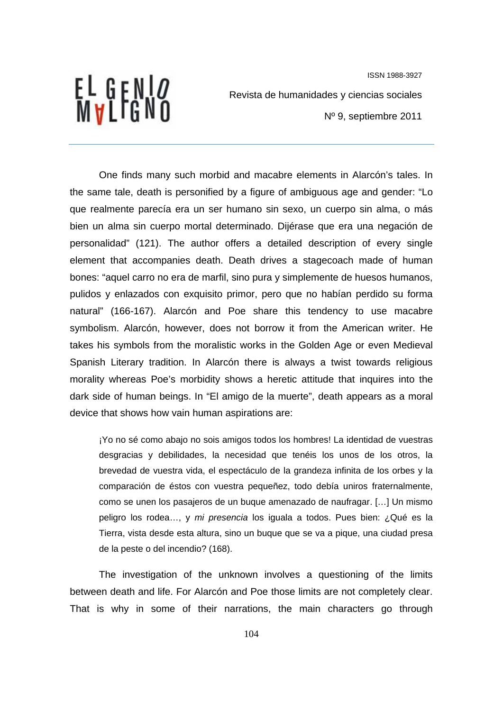EL GENI*o*<br>Mvlfgno

Revista de humanidades y ciencias sociales

Nº 9, septiembre 2011

One finds many such morbid and macabre elements in Alarcón's tales. In the same tale, death is personified by a figure of ambiguous age and gender: "Lo que realmente parecía era un ser humano sin sexo, un cuerpo sin alma, o más bien un alma sin cuerpo mortal determinado. Dijérase que era una negación de personalidad" (121). The author offers a detailed description of every single element that accompanies death. Death drives a stagecoach made of human bones: "aquel carro no era de marfil, sino pura y simplemente de huesos humanos, pulidos y enlazados con exquisito primor, pero que no habían perdido su forma natural" (166-167). Alarcón and Poe share this tendency to use macabre symbolism. Alarcón, however, does not borrow it from the American writer. He takes his symbols from the moralistic works in the Golden Age or even Medieval Spanish Literary tradition. In Alarcón there is always a twist towards religious morality whereas Poe's morbidity shows a heretic attitude that inquires into the dark side of human beings. In "El amigo de la muerte", death appears as a moral device that shows how vain human aspirations are:

¡Yo no sé como abajo no sois amigos todos los hombres! La identidad de vuestras desgracias y debilidades, la necesidad que tenéis los unos de los otros, la brevedad de vuestra vida, el espectáculo de la grandeza infinita de los orbes y la comparación de éstos con vuestra pequeñez, todo debía uniros fraternalmente, como se unen los pasajeros de un buque amenazado de naufragar. […] Un mismo peligro los rodea…, y *mi presencia* los iguala a todos. Pues bien: ¿Qué es la Tierra, vista desde esta altura, sino un buque que se va a pique, una ciudad presa de la peste o del incendio? (168).

The investigation of the unknown involves a questioning of the limits between death and life. For Alarcón and Poe those limits are not completely clear. That is why in some of their narrations, the main characters go through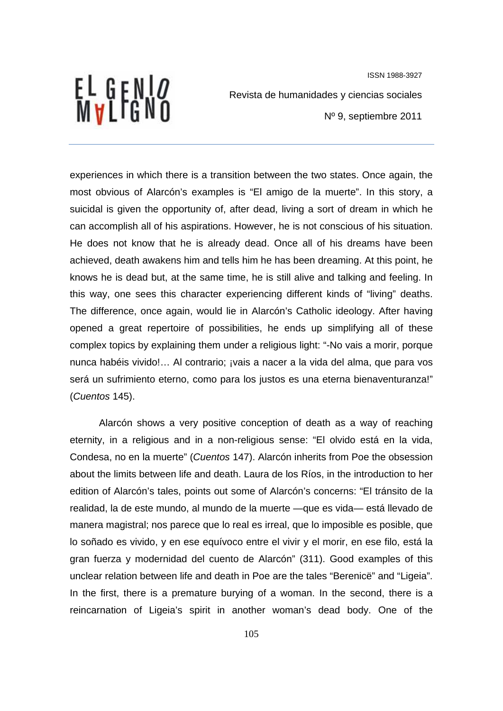EL GENI*o*<br>Mvlfgno

Revista de humanidades y ciencias sociales

Nº 9, septiembre 2011

experiences in which there is a transition between the two states. Once again, the most obvious of Alarcón's examples is "El amigo de la muerte". In this story, a suicidal is given the opportunity of, after dead, living a sort of dream in which he can accomplish all of his aspirations. However, he is not conscious of his situation. He does not know that he is already dead. Once all of his dreams have been achieved, death awakens him and tells him he has been dreaming. At this point, he knows he is dead but, at the same time, he is still alive and talking and feeling. In this way, one sees this character experiencing different kinds of "living" deaths. The difference, once again, would lie in Alarcón's Catholic ideology. After having opened a great repertoire of possibilities, he ends up simplifying all of these complex topics by explaining them under a religious light: "-No vais a morir, porque nunca habéis vivido!… Al contrario; ¡vais a nacer a la vida del alma, que para vos será un sufrimiento eterno, como para los justos es una eterna bienaventuranza!" (*Cuentos* 145).

Alarcón shows a very positive conception of death as a way of reaching eternity, in a religious and in a non-religious sense: "El olvido está en la vida, Condesa, no en la muerte" (*Cuentos* 147). Alarcón inherits from Poe the obsession about the limits between life and death. Laura de los Ríos, in the introduction to her edition of Alarcón's tales, points out some of Alarcón's concerns: "El tránsito de la realidad, la de este mundo, al mundo de la muerte —que es vida— está llevado de manera magistral; nos parece que lo real es irreal, que lo imposible es posible, que lo soñado es vivido, y en ese equívoco entre el vivir y el morir, en ese filo, está la gran fuerza y modernidad del cuento de Alarcón" (311). Good examples of this unclear relation between life and death in Poe are the tales "Berenicë" and "Ligeia". In the first, there is a premature burying of a woman. In the second, there is a reincarnation of Ligeia's spirit in another woman's dead body. One of the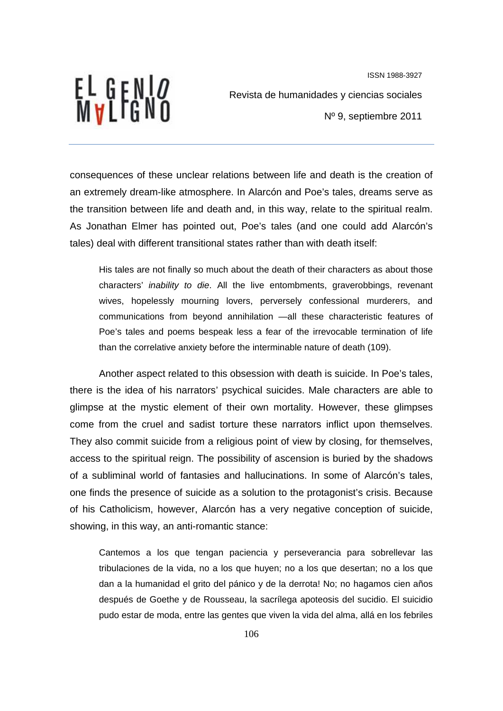

Revista de humanidades y ciencias sociales

Nº 9, septiembre 2011

consequences of these unclear relations between life and death is the creation of an extremely dream-like atmosphere. In Alarcón and Poe's tales, dreams serve as the transition between life and death and, in this way, relate to the spiritual realm. As Jonathan Elmer has pointed out, Poe's tales (and one could add Alarcón's tales) deal with different transitional states rather than with death itself:

His tales are not finally so much about the death of their characters as about those characters' *inability to die*. All the live entombments, graverobbings, revenant wives, hopelessly mourning lovers, perversely confessional murderers, and communications from beyond annihilation —all these characteristic features of Poe's tales and poems bespeak less a fear of the irrevocable termination of life than the correlative anxiety before the interminable nature of death (109).

Another aspect related to this obsession with death is suicide. In Poe's tales, there is the idea of his narrators' psychical suicides. Male characters are able to glimpse at the mystic element of their own mortality. However, these glimpses come from the cruel and sadist torture these narrators inflict upon themselves. They also commit suicide from a religious point of view by closing, for themselves, access to the spiritual reign. The possibility of ascension is buried by the shadows of a subliminal world of fantasies and hallucinations. In some of Alarcón's tales, one finds the presence of suicide as a solution to the protagonist's crisis. Because of his Catholicism, however, Alarcón has a very negative conception of suicide, showing, in this way, an anti-romantic stance:

Cantemos a los que tengan paciencia y perseverancia para sobrellevar las tribulaciones de la vida, no a los que huyen; no a los que desertan; no a los que dan a la humanidad el grito del pánico y de la derrota! No; no hagamos cien años después de Goethe y de Rousseau, la sacrílega apoteosis del sucidio. El suicidio pudo estar de moda, entre las gentes que viven la vida del alma, allá en los febriles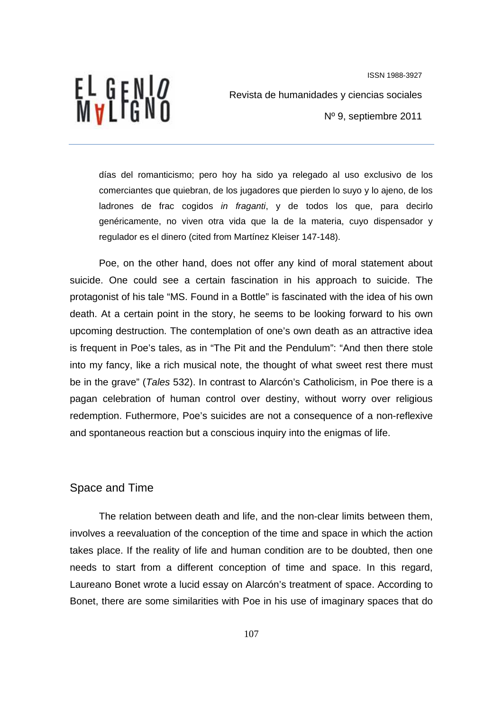

Revista de humanidades y ciencias sociales

Nº 9, septiembre 2011

días del romanticismo; pero hoy ha sido ya relegado al uso exclusivo de los comerciantes que quiebran, de los jugadores que pierden lo suyo y lo ajeno, de los ladrones de frac cogidos *in fraganti*, y de todos los que, para decirlo genéricamente, no viven otra vida que la de la materia, cuyo dispensador y regulador es el dinero (cited from Martínez Kleiser 147-148).

Poe, on the other hand, does not offer any kind of moral statement about suicide. One could see a certain fascination in his approach to suicide. The protagonist of his tale "MS. Found in a Bottle" is fascinated with the idea of his own death. At a certain point in the story, he seems to be looking forward to his own upcoming destruction. The contemplation of one's own death as an attractive idea is frequent in Poe's tales, as in "The Pit and the Pendulum": "And then there stole into my fancy, like a rich musical note, the thought of what sweet rest there must be in the grave" (*Tales* 532). In contrast to Alarcón's Catholicism, in Poe there is a pagan celebration of human control over destiny, without worry over religious redemption. Futhermore, Poe's suicides are not a consequence of a non-reflexive and spontaneous reaction but a conscious inquiry into the enigmas of life.

# Space and Time

The relation between death and life, and the non-clear limits between them, involves a reevaluation of the conception of the time and space in which the action takes place. If the reality of life and human condition are to be doubted, then one needs to start from a different conception of time and space. In this regard, Laureano Bonet wrote a lucid essay on Alarcón's treatment of space. According to Bonet, there are some similarities with Poe in his use of imaginary spaces that do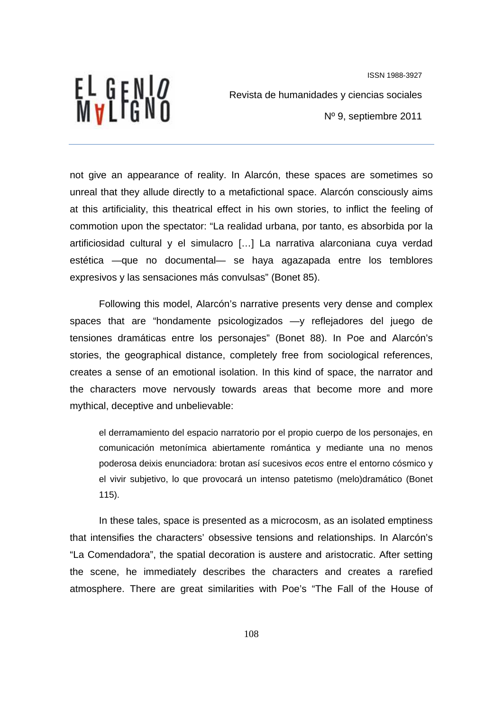

Revista de humanidades y ciencias sociales

Nº 9, septiembre 2011

not give an appearance of reality. In Alarcón, these spaces are sometimes so unreal that they allude directly to a metafictional space. Alarcón consciously aims at this artificiality, this theatrical effect in his own stories, to inflict the feeling of commotion upon the spectator: "La realidad urbana, por tanto, es absorbida por la artificiosidad cultural y el simulacro […] La narrativa alarconiana cuya verdad estética —que no documental— se haya agazapada entre los temblores expresivos y las sensaciones más convulsas" (Bonet 85).

Following this model, Alarcón's narrative presents very dense and complex spaces that are "hondamente psicologizados —y reflejadores del juego de tensiones dramáticas entre los personajes" (Bonet 88). In Poe and Alarcón's stories, the geographical distance, completely free from sociological references, creates a sense of an emotional isolation. In this kind of space, the narrator and the characters move nervously towards areas that become more and more mythical, deceptive and unbelievable:

el derramamiento del espacio narratorio por el propio cuerpo de los personajes, en comunicación metonímica abiertamente romántica y mediante una no menos poderosa deixis enunciadora: brotan así sucesivos *ecos* entre el entorno cósmico y el vivir subjetivo, lo que provocará un intenso patetismo (melo)dramático (Bonet 115).

In these tales, space is presented as a microcosm, as an isolated emptiness that intensifies the characters' obsessive tensions and relationships. In Alarcón's "La Comendadora", the spatial decoration is austere and aristocratic. After setting the scene, he immediately describes the characters and creates a rarefied atmosphere. There are great similarities with Poe's "The Fall of the House of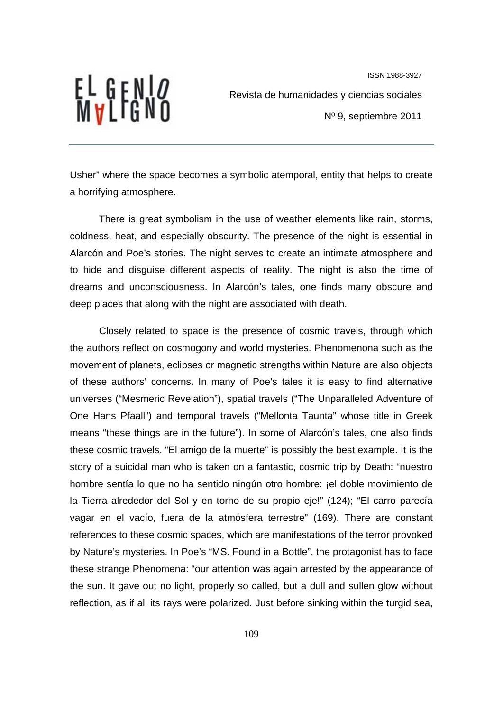

Revista de humanidades y ciencias sociales

Nº 9, septiembre 2011

Usher" where the space becomes a symbolic atemporal, entity that helps to create a horrifying atmosphere.

There is great symbolism in the use of weather elements like rain, storms, coldness, heat, and especially obscurity. The presence of the night is essential in Alarcón and Poe's stories. The night serves to create an intimate atmosphere and to hide and disguise different aspects of reality. The night is also the time of dreams and unconsciousness. In Alarcón's tales, one finds many obscure and deep places that along with the night are associated with death.

Closely related to space is the presence of cosmic travels, through which the authors reflect on cosmogony and world mysteries. Phenomenona such as the movement of planets, eclipses or magnetic strengths within Nature are also objects of these authors' concerns. In many of Poe's tales it is easy to find alternative universes ("Mesmeric Revelation"), spatial travels ("The Unparalleled Adventure of One Hans Pfaall") and temporal travels ("Mellonta Taunta" whose title in Greek means "these things are in the future"). In some of Alarcón's tales, one also finds these cosmic travels. "El amigo de la muerte" is possibly the best example. It is the story of a suicidal man who is taken on a fantastic, cosmic trip by Death: "nuestro hombre sentía lo que no ha sentido ningún otro hombre: ¡el doble movimiento de la Tierra alrededor del Sol y en torno de su propio eje!" (124); "El carro parecía vagar en el vacío, fuera de la atmósfera terrestre" (169). There are constant references to these cosmic spaces, which are manifestations of the terror provoked by Nature's mysteries. In Poe's "MS. Found in a Bottle", the protagonist has to face these strange Phenomena: "our attention was again arrested by the appearance of the sun. It gave out no light, properly so called, but a dull and sullen glow without reflection, as if all its rays were polarized. Just before sinking within the turgid sea,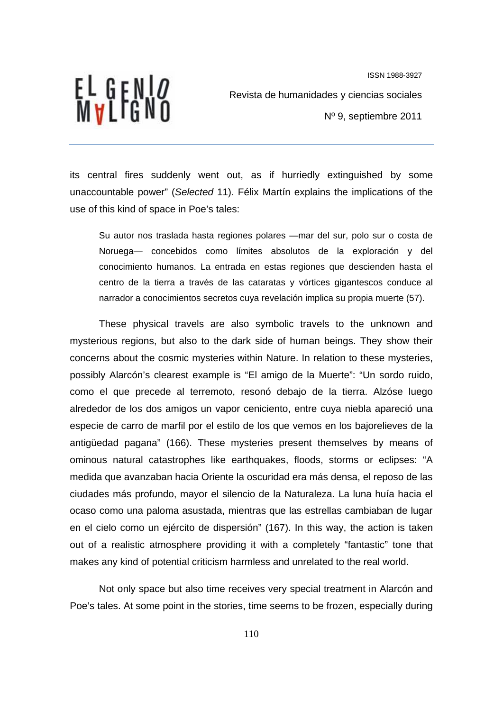

Revista de humanidades y ciencias sociales

Nº 9, septiembre 2011

its central fires suddenly went out, as if hurriedly extinguished by some unaccountable power" (*Selected* 11). Félix Martín explains the implications of the use of this kind of space in Poe's tales:

Su autor nos traslada hasta regiones polares —mar del sur, polo sur o costa de Noruega— concebidos como límites absolutos de la exploración y del conocimiento humanos. La entrada en estas regiones que descienden hasta el centro de la tierra a través de las cataratas y vórtices gigantescos conduce al narrador a conocimientos secretos cuya revelación implica su propia muerte (57).

These physical travels are also symbolic travels to the unknown and mysterious regions, but also to the dark side of human beings. They show their concerns about the cosmic mysteries within Nature. In relation to these mysteries, possibly Alarcón's clearest example is "El amigo de la Muerte": "Un sordo ruido, como el que precede al terremoto, resonó debajo de la tierra. Alzóse luego alrededor de los dos amigos un vapor ceniciento, entre cuya niebla apareció una especie de carro de marfil por el estilo de los que vemos en los bajorelieves de la antigüedad pagana" (166). These mysteries present themselves by means of ominous natural catastrophes like earthquakes, floods, storms or eclipses: "A medida que avanzaban hacia Oriente la oscuridad era más densa, el reposo de las ciudades más profundo, mayor el silencio de la Naturaleza. La luna huía hacia el ocaso como una paloma asustada, mientras que las estrellas cambiaban de lugar en el cielo como un ejército de dispersión" (167). In this way, the action is taken out of a realistic atmosphere providing it with a completely "fantastic" tone that makes any kind of potential criticism harmless and unrelated to the real world.

Not only space but also time receives very special treatment in Alarcón and Poe's tales. At some point in the stories, time seems to be frozen, especially during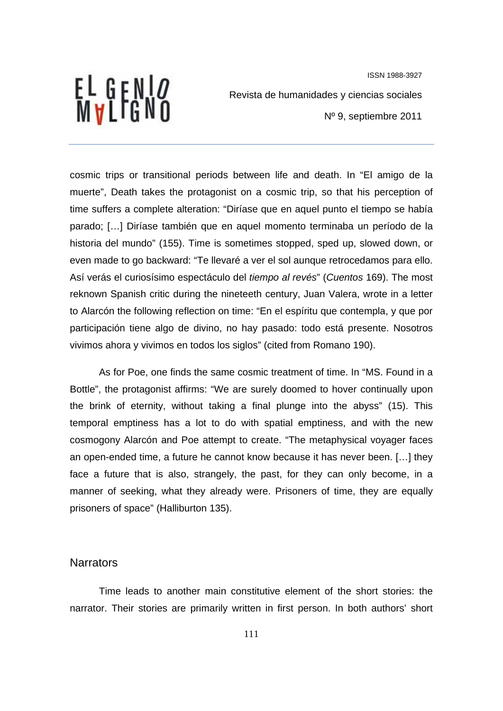

Revista de humanidades y ciencias sociales

Nº 9, septiembre 2011

cosmic trips or transitional periods between life and death. In "El amigo de la muerte", Death takes the protagonist on a cosmic trip, so that his perception of time suffers a complete alteration: "Diríase que en aquel punto el tiempo se había parado; […] Diríase también que en aquel momento terminaba un período de la historia del mundo" (155). Time is sometimes stopped, sped up, slowed down, or even made to go backward: "Te llevaré a ver el sol aunque retrocedamos para ello. Así verás el curiosísimo espectáculo del *tiempo al revés*" (*Cuentos* 169). The most reknown Spanish critic during the nineteeth century, Juan Valera, wrote in a letter to Alarcón the following reflection on time: "En el espíritu que contempla, y que por participación tiene algo de divino, no hay pasado: todo está presente. Nosotros vivimos ahora y vivimos en todos los siglos" (cited from Romano 190).

As for Poe, one finds the same cosmic treatment of time. In "MS. Found in a Bottle", the protagonist affirms: "We are surely doomed to hover continually upon the brink of eternity, without taking a final plunge into the abyss" (15). This temporal emptiness has a lot to do with spatial emptiness, and with the new cosmogony Alarcón and Poe attempt to create. "The metaphysical voyager faces an open-ended time, a future he cannot know because it has never been. […] they face a future that is also, strangely, the past, for they can only become, in a manner of seeking, what they already were. Prisoners of time, they are equally prisoners of space" (Halliburton 135).

# **Narrators**

Time leads to another main constitutive element of the short stories: the narrator. Their stories are primarily written in first person. In both authors' short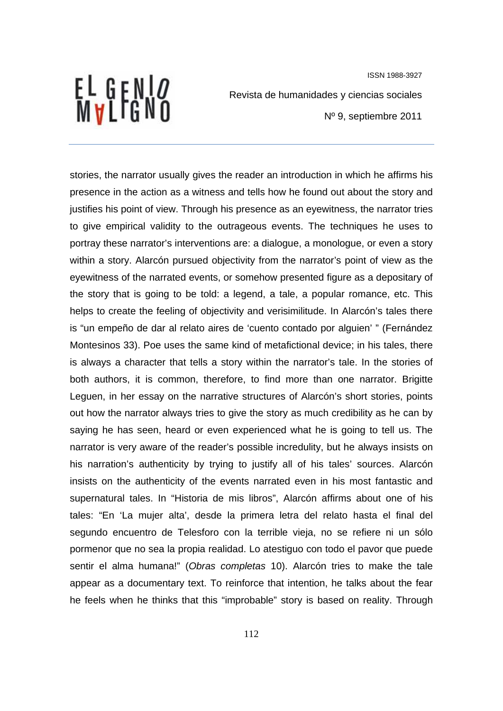EL GENI*o*<br>Mvlfgno

Revista de humanidades y ciencias sociales

Nº 9, septiembre 2011

stories, the narrator usually gives the reader an introduction in which he affirms his presence in the action as a witness and tells how he found out about the story and justifies his point of view. Through his presence as an eyewitness, the narrator tries to give empirical validity to the outrageous events. The techniques he uses to portray these narrator's interventions are: a dialogue, a monologue, or even a story within a story. Alarcón pursued objectivity from the narrator's point of view as the eyewitness of the narrated events, or somehow presented figure as a depositary of the story that is going to be told: a legend, a tale, a popular romance, etc. This helps to create the feeling of objectivity and verisimilitude. In Alarcón's tales there is "un empeño de dar al relato aires de 'cuento contado por alguien' " (Fernández Montesinos 33). Poe uses the same kind of metafictional device; in his tales, there is always a character that tells a story within the narrator's tale. In the stories of both authors, it is common, therefore, to find more than one narrator. Brigitte Leguen, in her essay on the narrative structures of Alarcón's short stories, points out how the narrator always tries to give the story as much credibility as he can by saying he has seen, heard or even experienced what he is going to tell us. The narrator is very aware of the reader's possible incredulity, but he always insists on his narration's authenticity by trying to justify all of his tales' sources. Alarcón insists on the authenticity of the events narrated even in his most fantastic and supernatural tales. In "Historia de mis libros", Alarcón affirms about one of his tales: "En 'La mujer alta', desde la primera letra del relato hasta el final del segundo encuentro de Telesforo con la terrible vieja, no se refiere ni un sólo pormenor que no sea la propia realidad. Lo atestiguo con todo el pavor que puede sentir el alma humana!" (*Obras completas* 10). Alarcón tries to make the tale appear as a documentary text. To reinforce that intention, he talks about the fear he feels when he thinks that this "improbable" story is based on reality. Through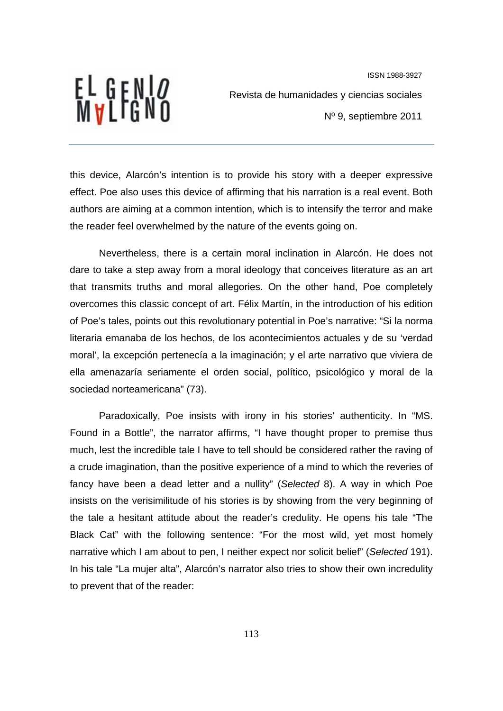

Revista de humanidades y ciencias sociales

Nº 9, septiembre 2011

this device, Alarcón's intention is to provide his story with a deeper expressive effect. Poe also uses this device of affirming that his narration is a real event. Both authors are aiming at a common intention, which is to intensify the terror and make the reader feel overwhelmed by the nature of the events going on.

Nevertheless, there is a certain moral inclination in Alarcón. He does not dare to take a step away from a moral ideology that conceives literature as an art that transmits truths and moral allegories. On the other hand, Poe completely overcomes this classic concept of art. Félix Martín, in the introduction of his edition of Poe's tales, points out this revolutionary potential in Poe's narrative: "Si la norma literaria emanaba de los hechos, de los acontecimientos actuales y de su 'verdad moral', la excepción pertenecía a la imaginación; y el arte narrativo que viviera de ella amenazaría seriamente el orden social, político, psicológico y moral de la sociedad norteamericana" (73).

Paradoxically, Poe insists with irony in his stories' authenticity. In "MS. Found in a Bottle", the narrator affirms, "I have thought proper to premise thus much, lest the incredible tale I have to tell should be considered rather the raving of a crude imagination, than the positive experience of a mind to which the reveries of fancy have been a dead letter and a nullity" (*Selected* 8). A way in which Poe insists on the verisimilitude of his stories is by showing from the very beginning of the tale a hesitant attitude about the reader's credulity. He opens his tale "The Black Cat" with the following sentence: "For the most wild, yet most homely narrative which I am about to pen, I neither expect nor solicit belief" (*Selected* 191). In his tale "La mujer alta", Alarcón's narrator also tries to show their own incredulity to prevent that of the reader: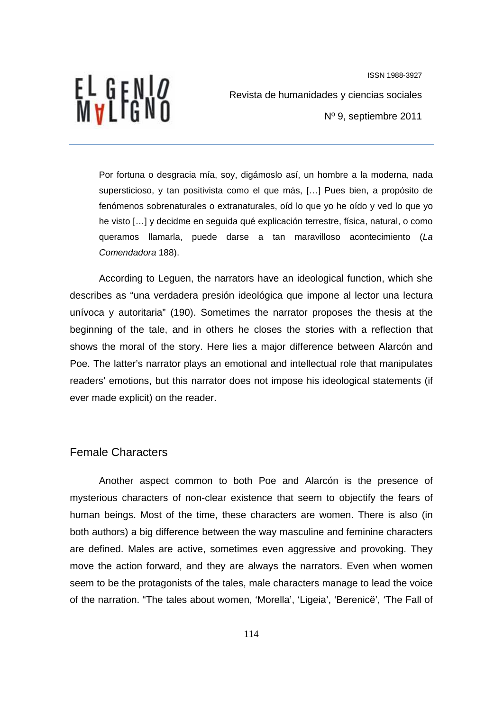

Revista de humanidades y ciencias sociales

Nº 9, septiembre 2011

Por fortuna o desgracia mía, soy, digámoslo así, un hombre a la moderna, nada supersticioso, y tan positivista como el que más, […] Pues bien, a propósito de fenómenos sobrenaturales o extranaturales, oíd lo que yo he oído y ved lo que yo he visto […] y decidme en seguida qué explicación terrestre, física, natural, o como queramos llamarla, puede darse a tan maravilloso acontecimiento (*La Comendadora* 188).

According to Leguen, the narrators have an ideological function, which she describes as "una verdadera presión ideológica que impone al lector una lectura unívoca y autoritaria" (190). Sometimes the narrator proposes the thesis at the beginning of the tale, and in others he closes the stories with a reflection that shows the moral of the story. Here lies a major difference between Alarcón and Poe. The latter's narrator plays an emotional and intellectual role that manipulates readers' emotions, but this narrator does not impose his ideological statements (if ever made explicit) on the reader.

#### Female Characters

Another aspect common to both Poe and Alarcón is the presence of mysterious characters of non-clear existence that seem to objectify the fears of human beings. Most of the time, these characters are women. There is also (in both authors) a big difference between the way masculine and feminine characters are defined. Males are active, sometimes even aggressive and provoking. They move the action forward, and they are always the narrators. Even when women seem to be the protagonists of the tales, male characters manage to lead the voice of the narration. "The tales about women, 'Morella', 'Ligeia', 'Berenicë', 'The Fall of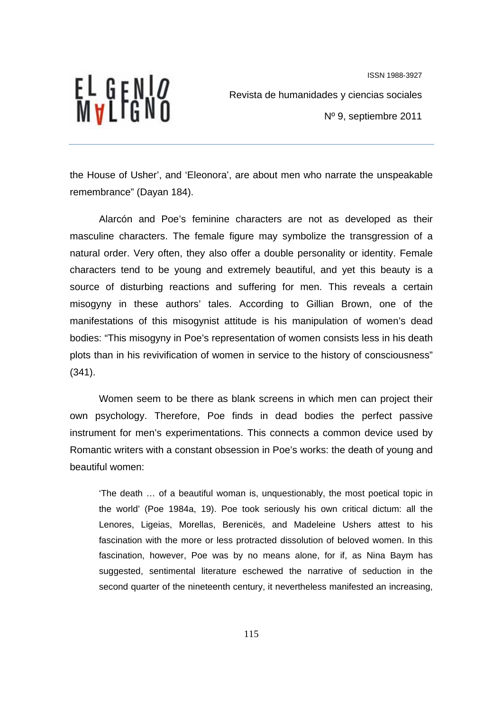

Revista de humanidades y ciencias sociales

Nº 9, septiembre 2011

the House of Usher', and 'Eleonora', are about men who narrate the unspeakable remembrance" (Dayan 184).

Alarcón and Poe's feminine characters are not as developed as their masculine characters. The female figure may symbolize the transgression of a natural order. Very often, they also offer a double personality or identity. Female characters tend to be young and extremely beautiful, and yet this beauty is a source of disturbing reactions and suffering for men. This reveals a certain misogyny in these authors' tales. According to Gillian Brown, one of the manifestations of this misogynist attitude is his manipulation of women's dead bodies: "This misogyny in Poe's representation of women consists less in his death plots than in his revivification of women in service to the history of consciousness" (341).

Women seem to be there as blank screens in which men can project their own psychology. Therefore, Poe finds in dead bodies the perfect passive instrument for men's experimentations. This connects a common device used by Romantic writers with a constant obsession in Poe's works: the death of young and beautiful women:

'The death … of a beautiful woman is, unquestionably, the most poetical topic in the world' (Poe 1984a, 19). Poe took seriously his own critical dictum: all the Lenores, Ligeias, Morellas, Berenicës, and Madeleine Ushers attest to his fascination with the more or less protracted dissolution of beloved women. In this fascination, however, Poe was by no means alone, for if, as Nina Baym has suggested, sentimental literature eschewed the narrative of seduction in the second quarter of the nineteenth century, it nevertheless manifested an increasing,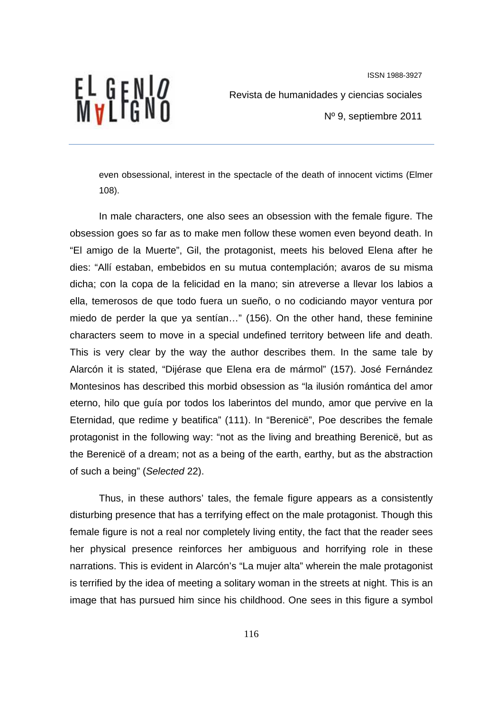EL GENI*o*<br>Mvlfgno

Revista de humanidades y ciencias sociales

Nº 9, septiembre 2011

even obsessional, interest in the spectacle of the death of innocent victims (Elmer 108).

In male characters, one also sees an obsession with the female figure. The obsession goes so far as to make men follow these women even beyond death. In "El amigo de la Muerte", Gil, the protagonist, meets his beloved Elena after he dies: "Allí estaban, embebidos en su mutua contemplación; avaros de su misma dicha; con la copa de la felicidad en la mano; sin atreverse a llevar los labios a ella, temerosos de que todo fuera un sueño, o no codiciando mayor ventura por miedo de perder la que ya sentían…" (156). On the other hand, these feminine characters seem to move in a special undefined territory between life and death. This is very clear by the way the author describes them. In the same tale by Alarcón it is stated, "Dijérase que Elena era de mármol" (157). José Fernández Montesinos has described this morbid obsession as "la ilusión romántica del amor eterno, hilo que guía por todos los laberintos del mundo, amor que pervive en la Eternidad, que redime y beatifica" (111). In "Berenicë", Poe describes the female protagonist in the following way: "not as the living and breathing Berenicë, but as the Berenicë of a dream; not as a being of the earth, earthy, but as the abstraction of such a being" (*Selected* 22).

Thus, in these authors' tales, the female figure appears as a consistently disturbing presence that has a terrifying effect on the male protagonist. Though this female figure is not a real nor completely living entity, the fact that the reader sees her physical presence reinforces her ambiguous and horrifying role in these narrations. This is evident in Alarcón's "La mujer alta" wherein the male protagonist is terrified by the idea of meeting a solitary woman in the streets at night. This is an image that has pursued him since his childhood. One sees in this figure a symbol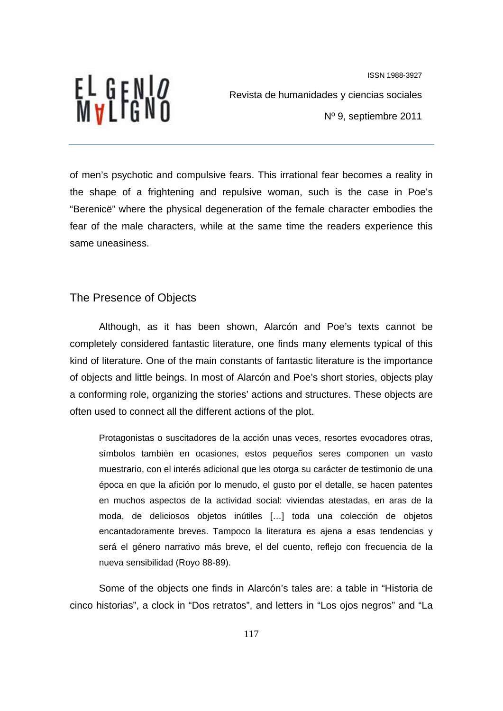ISSN 1988-3927 Revista de humanidades y ciencias sociales Nº 9, septiembre 2011

of men's psychotic and compulsive fears. This irrational fear becomes a reality in the shape of a frightening and repulsive woman, such is the case in Poe's "Berenicë" where the physical degeneration of the female character embodies the fear of the male characters, while at the same time the readers experience this same uneasiness.

#### The Presence of Objects

EL GENI*o*<br>Mvlfgno

Although, as it has been shown, Alarcón and Poe's texts cannot be completely considered fantastic literature, one finds many elements typical of this kind of literature. One of the main constants of fantastic literature is the importance of objects and little beings. In most of Alarcón and Poe's short stories, objects play a conforming role, organizing the stories' actions and structures. These objects are often used to connect all the different actions of the plot.

Protagonistas o suscitadores de la acción unas veces, resortes evocadores otras, símbolos también en ocasiones, estos pequeños seres componen un vasto muestrario, con el interés adicional que les otorga su carácter de testimonio de una época en que la afición por lo menudo, el gusto por el detalle, se hacen patentes en muchos aspectos de la actividad social: viviendas atestadas, en aras de la moda, de deliciosos objetos inútiles […] toda una colección de objetos encantadoramente breves. Tampoco la literatura es ajena a esas tendencias y será el género narrativo más breve, el del cuento, reflejo con frecuencia de la nueva sensibilidad (Royo 88-89).

Some of the objects one finds in Alarcón's tales are: a table in "Historia de cinco historias", a clock in "Dos retratos", and letters in "Los ojos negros" and "La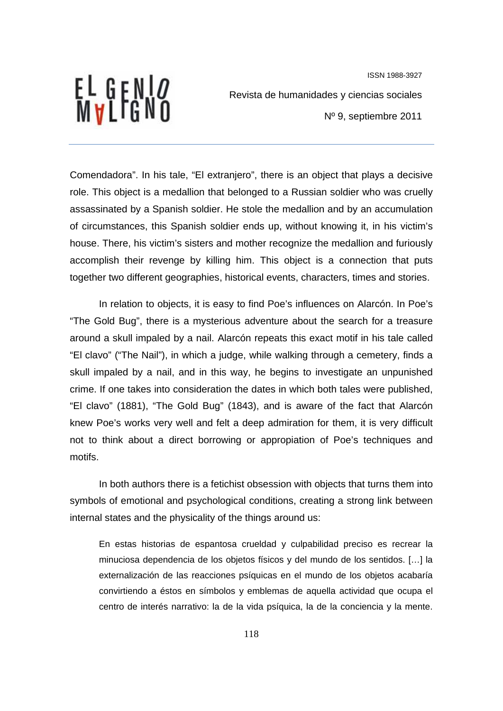

Revista de humanidades y ciencias sociales

Nº 9, septiembre 2011

Comendadora". In his tale, "El extranjero", there is an object that plays a decisive role. This object is a medallion that belonged to a Russian soldier who was cruelly assassinated by a Spanish soldier. He stole the medallion and by an accumulation of circumstances, this Spanish soldier ends up, without knowing it, in his victim's house. There, his victim's sisters and mother recognize the medallion and furiously accomplish their revenge by killing him. This object is a connection that puts together two different geographies, historical events, characters, times and stories.

In relation to objects, it is easy to find Poe's influences on Alarcón. In Poe's "The Gold Bug", there is a mysterious adventure about the search for a treasure around a skull impaled by a nail. Alarcón repeats this exact motif in his tale called "El clavo" ("The Nail"), in which a judge, while walking through a cemetery, finds a skull impaled by a nail, and in this way, he begins to investigate an unpunished crime. If one takes into consideration the dates in which both tales were published, "El clavo" (1881), "The Gold Bug" (1843), and is aware of the fact that Alarcón knew Poe's works very well and felt a deep admiration for them, it is very difficult not to think about a direct borrowing or appropiation of Poe's techniques and motifs.

In both authors there is a fetichist obsession with objects that turns them into symbols of emotional and psychological conditions, creating a strong link between internal states and the physicality of the things around us:

En estas historias de espantosa crueldad y culpabilidad preciso es recrear la minuciosa dependencia de los objetos físicos y del mundo de los sentidos. […] la externalización de las reacciones psíquicas en el mundo de los objetos acabaría convirtiendo a éstos en símbolos y emblemas de aquella actividad que ocupa el centro de interés narrativo: la de la vida psíquica, la de la conciencia y la mente.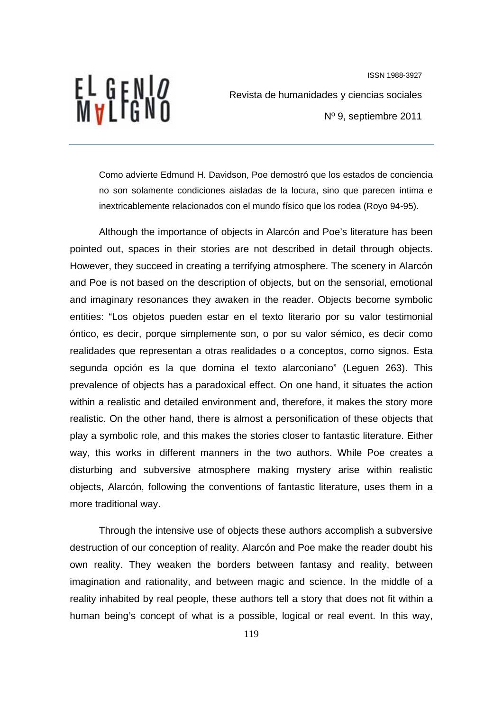EL GENI*o*<br>Mvlfgno

Revista de humanidades y ciencias sociales

Nº 9, septiembre 2011

Como advierte Edmund H. Davidson, Poe demostró que los estados de conciencia no son solamente condiciones aisladas de la locura, sino que parecen íntima e inextricablemente relacionados con el mundo físico que los rodea (Royo 94-95).

Although the importance of objects in Alarcón and Poe's literature has been pointed out, spaces in their stories are not described in detail through objects. However, they succeed in creating a terrifying atmosphere. The scenery in Alarcón and Poe is not based on the description of objects, but on the sensorial, emotional and imaginary resonances they awaken in the reader. Objects become symbolic entities: "Los objetos pueden estar en el texto literario por su valor testimonial óntico, es decir, porque simplemente son, o por su valor sémico, es decir como realidades que representan a otras realidades o a conceptos, como signos. Esta segunda opción es la que domina el texto alarconiano" (Leguen 263). This prevalence of objects has a paradoxical effect. On one hand, it situates the action within a realistic and detailed environment and, therefore, it makes the story more realistic. On the other hand, there is almost a personification of these objects that play a symbolic role, and this makes the stories closer to fantastic literature. Either way, this works in different manners in the two authors. While Poe creates a disturbing and subversive atmosphere making mystery arise within realistic objects, Alarcón, following the conventions of fantastic literature, uses them in a more traditional way.

Through the intensive use of objects these authors accomplish a subversive destruction of our conception of reality. Alarcón and Poe make the reader doubt his own reality. They weaken the borders between fantasy and reality, between imagination and rationality, and between magic and science. In the middle of a reality inhabited by real people, these authors tell a story that does not fit within a human being's concept of what is a possible, logical or real event. In this way,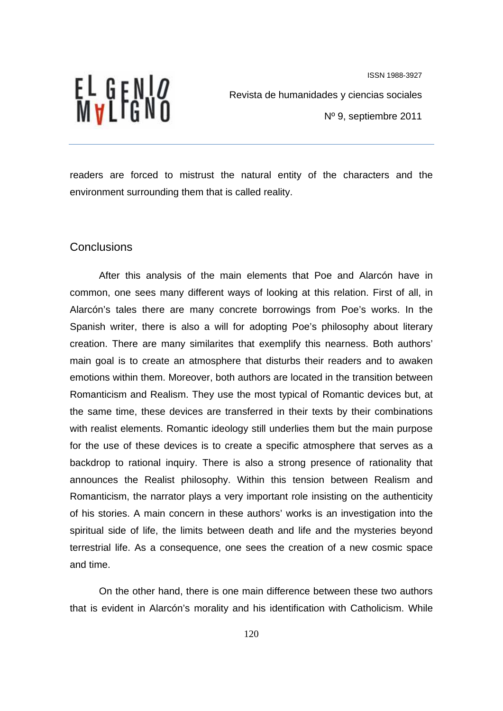EL GENI*o*<br>Mvlfgno

Revista de humanidades y ciencias sociales

Nº 9, septiembre 2011

readers are forced to mistrust the natural entity of the characters and the environment surrounding them that is called reality.

#### **Conclusions**

After this analysis of the main elements that Poe and Alarcón have in common, one sees many different ways of looking at this relation. First of all, in Alarcón's tales there are many concrete borrowings from Poe's works. In the Spanish writer, there is also a will for adopting Poe's philosophy about literary creation. There are many similarites that exemplify this nearness. Both authors' main goal is to create an atmosphere that disturbs their readers and to awaken emotions within them. Moreover, both authors are located in the transition between Romanticism and Realism. They use the most typical of Romantic devices but, at the same time, these devices are transferred in their texts by their combinations with realist elements. Romantic ideology still underlies them but the main purpose for the use of these devices is to create a specific atmosphere that serves as a backdrop to rational inquiry. There is also a strong presence of rationality that announces the Realist philosophy. Within this tension between Realism and Romanticism, the narrator plays a very important role insisting on the authenticity of his stories. A main concern in these authors' works is an investigation into the spiritual side of life, the limits between death and life and the mysteries beyond terrestrial life. As a consequence, one sees the creation of a new cosmic space and time.

On the other hand, there is one main difference between these two authors that is evident in Alarcón's morality and his identification with Catholicism. While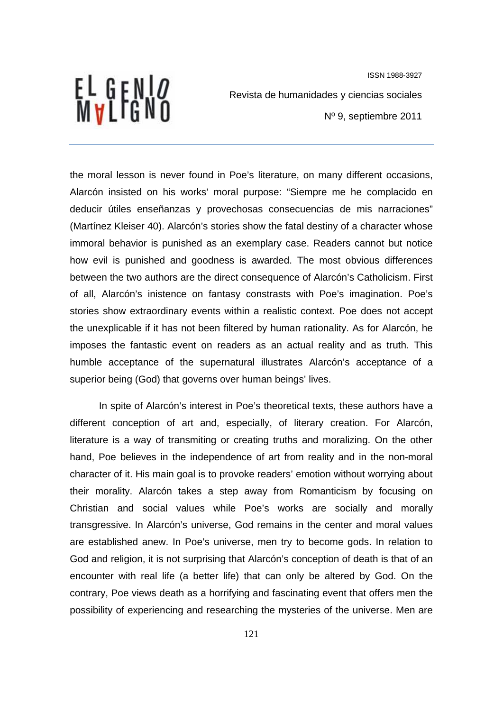EL GENI*o*<br>Mvlfgno

ISSN 1988-3927 Revista de humanidades y ciencias sociales Nº 9, septiembre 2011

the moral lesson is never found in Poe's literature, on many different occasions, Alarcón insisted on his works' moral purpose: "Siempre me he complacido en deducir útiles enseñanzas y provechosas consecuencias de mis narraciones" (Martínez Kleiser 40). Alarcón's stories show the fatal destiny of a character whose immoral behavior is punished as an exemplary case. Readers cannot but notice how evil is punished and goodness is awarded. The most obvious differences between the two authors are the direct consequence of Alarcón's Catholicism. First of all, Alarcón's inistence on fantasy constrasts with Poe's imagination. Poe's stories show extraordinary events within a realistic context. Poe does not accept the unexplicable if it has not been filtered by human rationality. As for Alarcón, he imposes the fantastic event on readers as an actual reality and as truth. This humble acceptance of the supernatural illustrates Alarcón's acceptance of a superior being (God) that governs over human beings' lives.

In spite of Alarcón's interest in Poe's theoretical texts, these authors have a different conception of art and, especially, of literary creation. For Alarcón, literature is a way of transmiting or creating truths and moralizing. On the other hand, Poe believes in the independence of art from reality and in the non-moral character of it. His main goal is to provoke readers' emotion without worrying about their morality. Alarcón takes a step away from Romanticism by focusing on Christian and social values while Poe's works are socially and morally transgressive. In Alarcón's universe, God remains in the center and moral values are established anew. In Poe's universe, men try to become gods. In relation to God and religion, it is not surprising that Alarcón's conception of death is that of an encounter with real life (a better life) that can only be altered by God. On the contrary, Poe views death as a horrifying and fascinating event that offers men the possibility of experiencing and researching the mysteries of the universe. Men are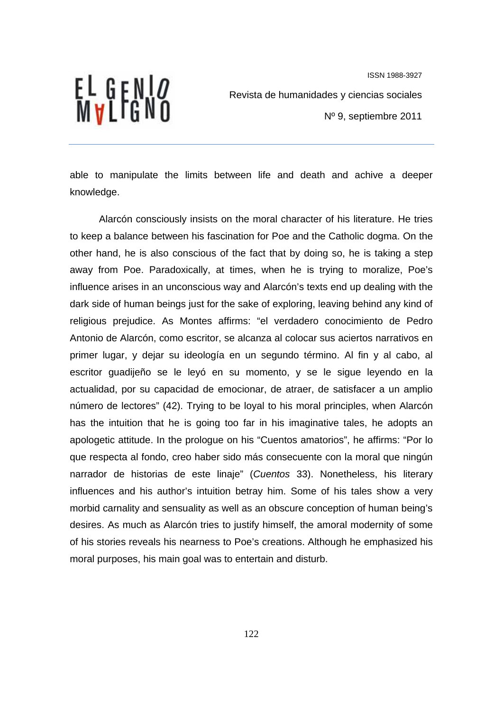EL GENI*o*<br>Mvlfgno

Revista de humanidades y ciencias sociales

Nº 9, septiembre 2011

able to manipulate the limits between life and death and achive a deeper knowledge.

Alarcón consciously insists on the moral character of his literature. He tries to keep a balance between his fascination for Poe and the Catholic dogma. On the other hand, he is also conscious of the fact that by doing so, he is taking a step away from Poe. Paradoxically, at times, when he is trying to moralize, Poe's influence arises in an unconscious way and Alarcón's texts end up dealing with the dark side of human beings just for the sake of exploring, leaving behind any kind of religious prejudice. As Montes affirms: "el verdadero conocimiento de Pedro Antonio de Alarcón, como escritor, se alcanza al colocar sus aciertos narrativos en primer lugar, y dejar su ideología en un segundo término. Al fin y al cabo, al escritor guadijeño se le leyó en su momento, y se le sigue leyendo en la actualidad, por su capacidad de emocionar, de atraer, de satisfacer a un amplio número de lectores" (42). Trying to be loyal to his moral principles, when Alarcón has the intuition that he is going too far in his imaginative tales, he adopts an apologetic attitude. In the prologue on his "Cuentos amatorios", he affirms: "Por lo que respecta al fondo, creo haber sido más consecuente con la moral que ningún narrador de historias de este linaje" (*Cuentos* 33). Nonetheless, his literary influences and his author's intuition betray him. Some of his tales show a very morbid carnality and sensuality as well as an obscure conception of human being's desires. As much as Alarcón tries to justify himself, the amoral modernity of some of his stories reveals his nearness to Poe's creations. Although he emphasized his moral purposes, his main goal was to entertain and disturb.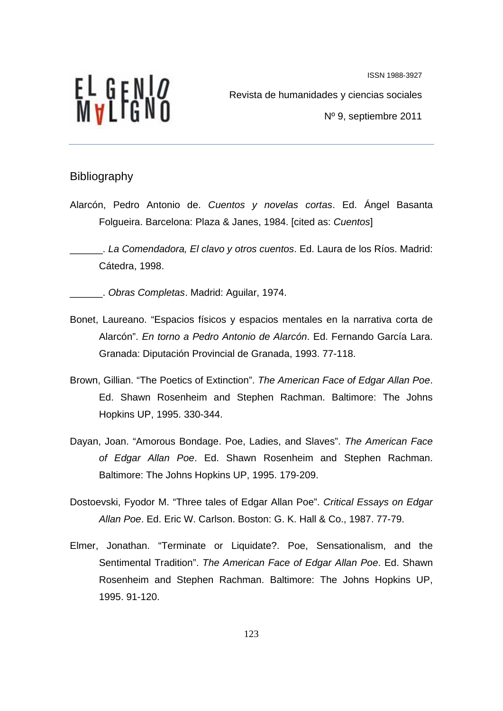

Revista de humanidades y ciencias sociales

Nº 9, septiembre 2011

# Bibliography

Alarcón, Pedro Antonio de. *Cuentos y novelas cortas*. Ed. Ángel Basanta Folgueira. Barcelona: Plaza & Janes, 1984. [cited as: *Cuentos*]

\_\_\_\_\_\_. *La Comendadora, El clavo y otros cuentos*. Ed. Laura de los Ríos. Madrid: Cátedra, 1998.

\_\_\_\_\_\_. *Obras Completas*. Madrid: Aguilar, 1974.

- Bonet, Laureano. "Espacios físicos y espacios mentales en la narrativa corta de Alarcón". *En torno a Pedro Antonio de Alarcón*. Ed. Fernando García Lara. Granada: Diputación Provincial de Granada, 1993. 77-118.
- Brown, Gillian. "The Poetics of Extinction". *The American Face of Edgar Allan Poe*. Ed. Shawn Rosenheim and Stephen Rachman. Baltimore: The Johns Hopkins UP, 1995. 330-344.
- Dayan, Joan. "Amorous Bondage. Poe, Ladies, and Slaves". *The American Face of Edgar Allan Poe*. Ed. Shawn Rosenheim and Stephen Rachman. Baltimore: The Johns Hopkins UP, 1995. 179-209.
- Dostoevski, Fyodor M. "Three tales of Edgar Allan Poe". *Critical Essays on Edgar Allan Poe*. Ed. Eric W. Carlson. Boston: G. K. Hall & Co., 1987. 77-79.
- Elmer, Jonathan. "Terminate or Liquidate?. Poe, Sensationalism, and the Sentimental Tradition". *The American Face of Edgar Allan Poe*. Ed. Shawn Rosenheim and Stephen Rachman. Baltimore: The Johns Hopkins UP, 1995. 91-120.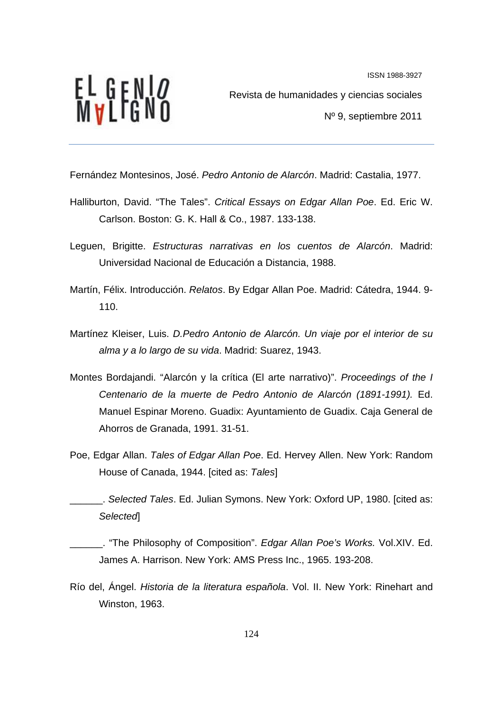EL GENI*o*<br>Mvlfgno

Revista de humanidades y ciencias sociales Nº 9, septiembre 2011

Fernández Montesinos, José. *Pedro Antonio de Alarcón*. Madrid: Castalia, 1977.

- Halliburton, David. "The Tales". *Critical Essays on Edgar Allan Poe*. Ed. Eric W. Carlson. Boston: G. K. Hall & Co., 1987. 133-138.
- Leguen, Brigitte. *Estructuras narrativas en los cuentos de Alarcón*. Madrid: Universidad Nacional de Educación a Distancia, 1988.
- Martín, Félix. Introducción. *Relatos*. By Edgar Allan Poe. Madrid: Cátedra, 1944. 9- 110.
- Martínez Kleiser, Luis. *D.Pedro Antonio de Alarcón. Un viaje por el interior de su alma y a lo largo de su vida*. Madrid: Suarez, 1943.
- Montes Bordajandi. "Alarcón y la crítica (El arte narrativo)". *Proceedings of the I Centenario de la muerte de Pedro Antonio de Alarcón (1891-1991).* Ed. Manuel Espinar Moreno. Guadix: Ayuntamiento de Guadix. Caja General de Ahorros de Granada, 1991. 31-51.
- Poe, Edgar Allan. *Tales of Edgar Allan Poe*. Ed. Hervey Allen. New York: Random House of Canada, 1944. [cited as: *Tales*]

\_\_\_\_\_\_. *Selected Tales*. Ed. Julian Symons. New York: Oxford UP, 1980. [cited as: *Selected*]

\_\_\_\_\_\_. "The Philosophy of Composition". *Edgar Allan Poe's Works.* Vol.XIV. Ed. James A. Harrison. New York: AMS Press Inc., 1965. 193-208.

Río del, Ángel. *Historia de la literatura española*. Vol. II. New York: Rinehart and Winston, 1963.